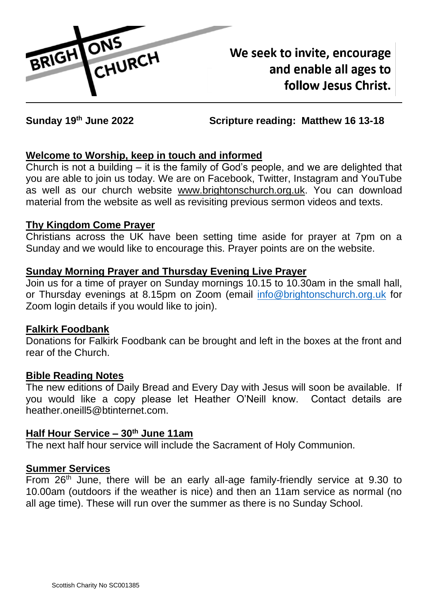

We seek to invite, encourage and enable all ages to follow Jesus Christ.

**Sunday 19th June 2022 Scripture reading: Matthew 16 13-18** 

# **Welcome to Worship, keep in touch and informed**

Church is not a building – it is the family of God's people, and we are delighted that you are able to join us today. We are on Facebook, Twitter, Instagram and YouTube as well as our church website [www.brightonschurch.org.uk.](http://www.brightonschurch.org.uk/) You can download material from the website as well as revisiting previous sermon videos and texts.

### **Thy Kingdom Come Prayer**

Christians across the UK have been setting time aside for prayer at 7pm on a Sunday and we would like to encourage this. Prayer points are on the website.

## **Sunday Morning Prayer and Thursday Evening Live Prayer**

Join us for a time of prayer on Sunday mornings 10.15 to 10.30am in the small hall, or Thursday evenings at 8.15pm on Zoom (email [info@brightonschurch.org.uk](mailto:info@brightonschurch.org.uk) for Zoom login details if you would like to join).

## **Falkirk Foodbank**

Donations for Falkirk Foodbank can be brought and left in the boxes at the front and rear of the Church.

### **Bible Reading Notes**

The new editions of Daily Bread and Every Day with Jesus will soon be available. If you would like a copy please let Heather O'Neill know. Contact details are heather.oneill5@btinternet.com.

## **Half Hour Service – 30th June 11am**

The next half hour service will include the Sacrament of Holy Communion.

### **Summer Services**

From 26<sup>th</sup> June, there will be an early all-age family-friendly service at 9.30 to 10.00am (outdoors if the weather is nice) and then an 11am service as normal (no all age time). These will run over the summer as there is no Sunday School.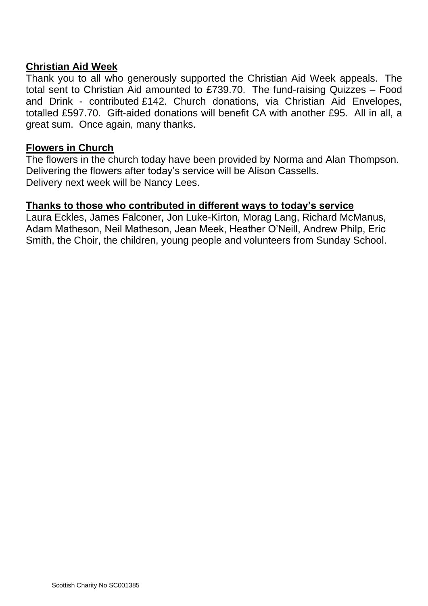### **Christian Aid Week**

Thank you to all who generously supported the Christian Aid Week appeals. The total sent to Christian Aid amounted to £739.70. The fund-raising Quizzes – Food and Drink - contributed £142. Church donations, via Christian Aid Envelopes, totalled £597.70. Gift-aided donations will benefit CA with another £95. All in all, a great sum. Once again, many thanks.

#### **Flowers in Church**

The flowers in the church today have been provided by Norma and Alan Thompson. Delivering the flowers after today's service will be Alison Cassells. Delivery next week will be Nancy Lees.

#### **Thanks to those who contributed in different ways to today's service**

Laura Eckles, James Falconer, Jon Luke-Kirton, Morag Lang, Richard McManus, Adam Matheson, Neil Matheson, Jean Meek, Heather O'Neill, Andrew Philp, Eric Smith, the Choir, the children, young people and volunteers from Sunday School.